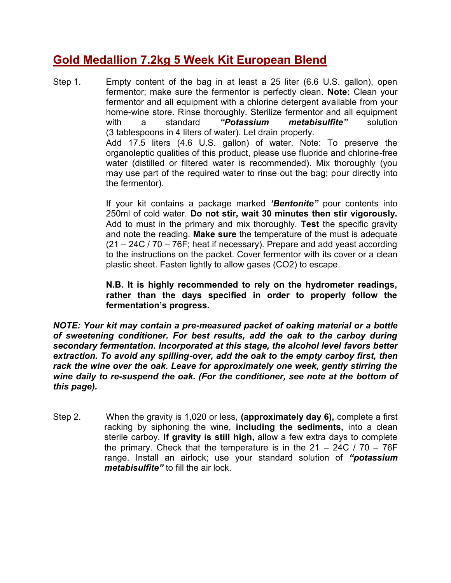## **Gold Medallion 7.2kg 5 Week Kit European Blend**

Step 1. Empty content of the bag in at least a 25 liter (6.6 U.S. gallon), open fermentor; make sure the fermentor is perfectly clean. **Note:** Clean your fermentor and all equipment with a chlorine detergent available from your home-wine store. Rinse thoroughly. Sterilize fermentor and all equipment with a standard "Potassium metabisulfite" solution with a standard *"Potassium metabisulfite"* solution (3 tablespoons in 4 liters of water). Let drain properly. Add 17.5 liters (4.6 U.S. gallon) of water. Note: To preserve the organoleptic qualities of this product, please use fluoride and chlorine-free water (distilled or filtered water is recommended). Mix thoroughly (you may use part of the required water to rinse out the bag; pour directly into the fermentor).

> If your kit contains a package marked *'Bentonite"* pour contents into 250ml of cold water. **Do not stir, wait 30 minutes then stir vigorously.** Add to must in the primary and mix thoroughly. **Test** the specific gravity and note the reading. **Make sure** the temperature of the must is adequate (21 – 24C / 70 – 76F; heat if necessary). Prepare and add yeast according to the instructions on the packet. Cover fermentor with its cover or a clean plastic sheet. Fasten lightly to allow gases (CO2) to escape.

> **N.B. It is highly recommended to rely on the hydrometer readings, rather than the days specified in order to properly follow the fermentation's progress.**

*NOTE: Your kit may contain a pre-measured packet of oaking material or a bottle of sweetening conditioner. For best results, add the oak to the carboy during secondary fermentation. Incorporated at this stage, the alcohol level favors better extraction. To avoid any spilling-over, add the oak to the empty carboy first, then rack the wine over the oak. Leave for approximately one week, gently stirring the wine daily to re-suspend the oak. (For the conditioner, see note at the bottom of this page).*

Step 2. When the gravity is 1,020 or less, **(approximately day 6),** complete a first racking by siphoning the wine, **including the sediments,** into a clean sterile carboy. **If gravity is still high,** allow a few extra days to complete the primary. Check that the temperature is in the  $21 - 24C / 70 - 76F$ range. Install an airlock; use your standard solution of *"potassium metabisulfite"* to fill the air lock.